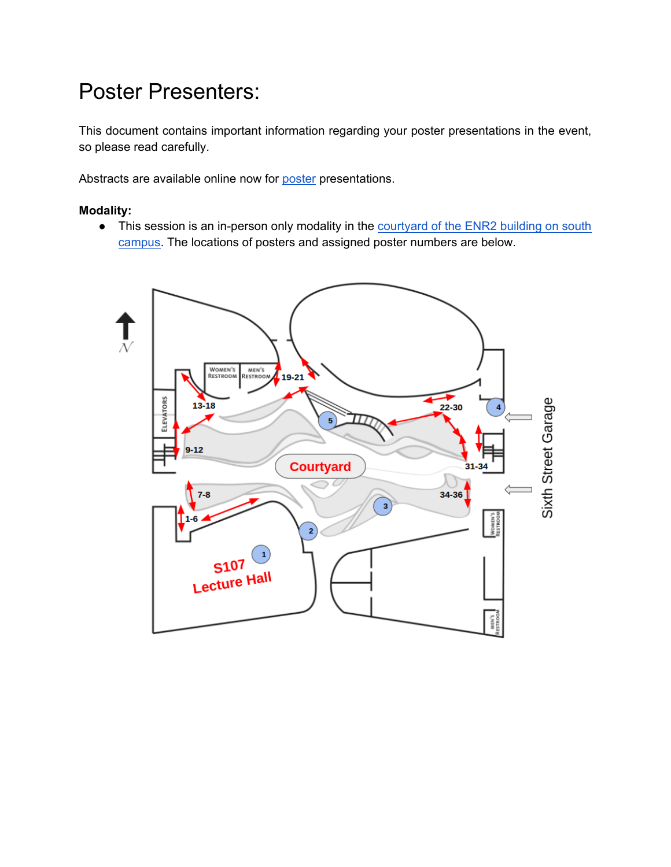# Poster Presenters:

This document contains important information regarding your poster presentations in the event, so please read carefully.

Abstracts are available online now for **poster** presentations.

## **Modality:**

• This session is an in-person only modality in the courtyard of the ENR2 building on south [campus.](https://eldia2022.github.io/Location.html) The locations of posters and assigned poster numbers are below.

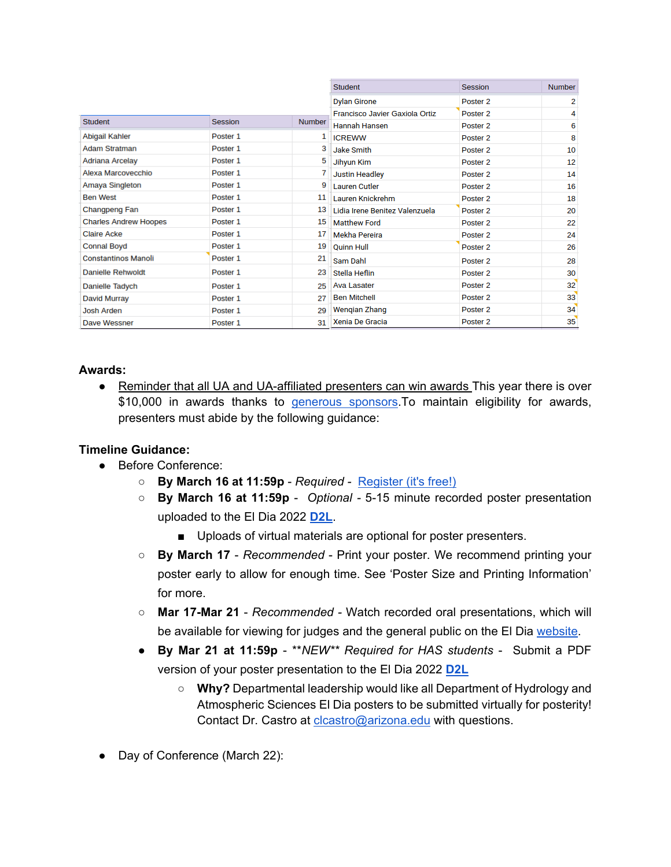|                              |                | <b>Student</b>      | Session                        | <b>Number</b>       |    |
|------------------------------|----------------|---------------------|--------------------------------|---------------------|----|
|                              |                | <b>Dylan Girone</b> | Poster <sub>2</sub>            | 2                   |    |
|                              |                |                     | Francisco Javier Gaxiola Ortiz | Poster <sub>2</sub> | 4  |
| <b>Student</b>               | <b>Session</b> | <b>Number</b>       | Hannah Hansen                  | Poster <sub>2</sub> | 6  |
| Abigail Kahler               | Poster 1       | 1                   | <b>ICREWW</b>                  | Poster <sub>2</sub> | 8  |
| <b>Adam Stratman</b>         | Poster 1       | 3                   | <b>Jake Smith</b>              | Poster <sub>2</sub> | 10 |
| Adriana Arcelay              | Poster 1       | 5                   | Jihyun Kim                     | Poster <sub>2</sub> | 12 |
| Alexa Marcovecchio           | Poster 1       | 7                   | <b>Justin Headley</b>          | Poster 2            | 14 |
| Amaya Singleton              | Poster 1       | 9                   | <b>Lauren Cutler</b>           | Poster <sub>2</sub> | 16 |
| <b>Ben West</b>              | Poster 1       | 11                  | Lauren Knickrehm               | Poster <sub>2</sub> | 18 |
| Changpeng Fan                | Poster 1       | 13                  | Lidia Irene Benitez Valenzuela | Poster <sub>2</sub> | 20 |
| <b>Charles Andrew Hoopes</b> | Poster 1       | 15                  | <b>Matthew Ford</b>            | Poster <sub>2</sub> | 22 |
| <b>Claire Acke</b>           | Poster 1       | 17                  | Mekha Pereira                  | Poster <sub>2</sub> | 24 |
| <b>Connal Boyd</b>           | Poster 1       | 19                  | <b>Quinn Hull</b>              | Poster <sub>2</sub> | 26 |
| <b>Constantinos Manoli</b>   | Poster 1       | 21                  | Sam Dahl                       | Poster <sub>2</sub> | 28 |
| <b>Danielle Rehwoldt</b>     | Poster 1       | 23                  | Stella Heflin                  | Poster <sub>2</sub> | 30 |
| Danielle Tadych              | Poster 1       | 25                  | <b>Ava Lasater</b>             | Poster <sub>2</sub> | 32 |
| David Murray                 | Poster 1       | 27                  | <b>Ben Mitchell</b>            | Poster <sub>2</sub> | 33 |
| <b>Josh Arden</b>            | Poster 1       | 29                  | Wengian Zhang                  | Poster <sub>2</sub> | 34 |
| Dave Wessner                 | Poster 1       | 31                  | Xenia De Gracia                | Poster <sub>2</sub> | 35 |

#### **Awards:**

● Reminder that all UA and UA-affiliated presenters can win awards This year there is over \$10,000 in awards thanks to *generous sponsors*. To maintain eligibility for awards, presenters must abide by the following guidance:

#### **Timeline Guidance:**

- Before Conference:
	- **By March 16 at 11:59p**  *Required -* [Register \(it's free!\)](https://docs.google.com/forms/d/e/1FAIpQLSepZuYdTK7zlqa_hY1BpnC7Qpu9VsZT2Kp3joJGNkPSjMyYng/viewform)
	- **By March 16 at 11:59p** *Optional -* 5-15 minute recorded poster presentation uploaded to the El Dia 2022 **[D2L](https://d2l.arizona.edu/d2l/home/1147516)**.
		- Uploads of virtual materials are optional for poster presenters.
	- **By March 17**  *Recommended*  Print your poster. We recommend printing your poster early to allow for enough time. See 'Poster Size and Printing Information' for more.
	- **Mar 17-Mar 21**  *Recommended -* Watch recorded oral presentations, which will be available for viewing for judges and the general public on the El Dia [website.](https://eldia2022.github.io/abstracts_oral.html)
	- **By Mar 21 at 11:59p**  \*\**NEW\*\* Required for HAS students* Submit a PDF version of your poster presentation to the El Dia 2022 **[D2L](https://d2l.arizona.edu/d2l/home/1147516)**
		- **Why?** Departmental leadership would like all Department of Hydrology and Atmospheric Sciences El Dia posters to be submitted virtually for posterity! Contact Dr. Castro at [clcastro@arizona.edu](mailto:clcastro@arizona.edu) with questions.
- Day of Conference (March 22):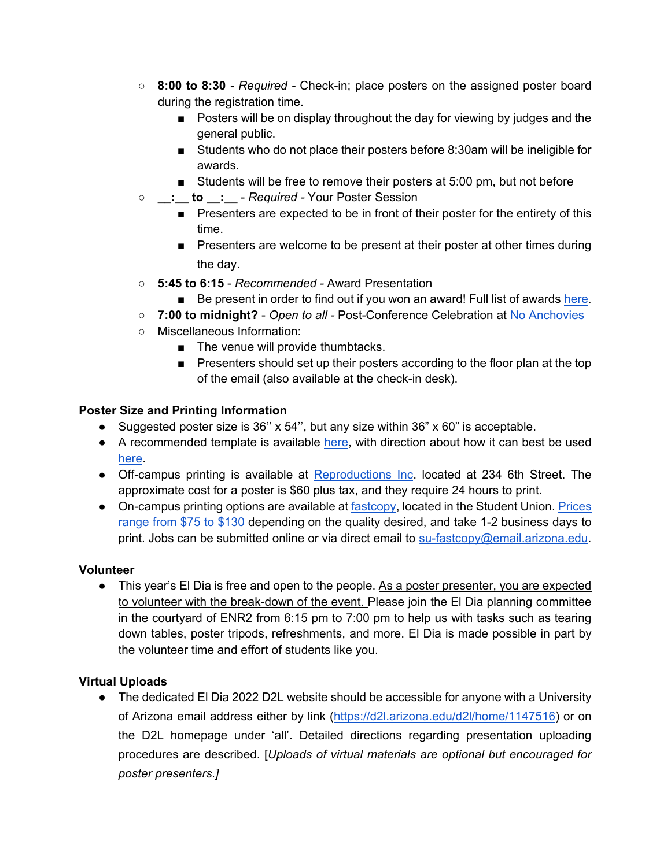- **8:00 to 8:30 -** *Required -* Check-in; place posters on the assigned poster board during the registration time.
	- Posters will be on display throughout the day for viewing by judges and the general public.
	- Students who do not place their posters before 8:30am will be ineligible for awards.
	- Students will be free to remove their posters at 5:00 pm, but not before
- **\_\_:\_\_ to \_\_:\_\_**  *Required -* Your Poster Session
	- Presenters are expected to be in front of their poster for the entirety of this time.
	- Presenters are welcome to be present at their poster at other times during the day.
- **5:45 to 6:15** *Recommended -* Award Presentation
	- Be present in order to find out if you won an award! Full list of awards [here.](https://has.arizona.edu/2022-sponsors-awards-and-prizes)
- **7:00 to midnight?**  *Open to all -* Post-Conference Celebration at [No Anchovies](https://eldia2022.github.io/Reception.html)
- Miscellaneous Information:
	- The venue will provide thumbtacks.
	- Presenters should set up their posters according to the floor plan at the top of the email (also available at the check-in desk).

## **Poster Size and Printing Information**

- Suggested poster size is 36" x 54", but any size within 36" x 60" is acceptable.
- A recommended template is available [here,](https://has.arizona.edu/better-poster-format-el-dia) with direction about how it can best be used [here.](https://youtu.be/1RwJbhkCA58)
- Off-campus printing is available at [Reproductions Inc.](https://reproductionsinc.com/) located at 234 6th Street. The approximate cost for a poster is \$60 plus tax, and they require 24 hours to print.
- On-campus printing options are available at [fastcopy,](https://union.arizona.edu/fastcopy/) located in the Student Union. Prices [range from \\$75 to \\$130](https://drive.google.com/file/d/1kGif0MWmuVtc_-GOFQhsc-bn7nsXbCJ4/view?usp=sharing) depending on the quality desired, and take 1-2 business days to print. Jobs can be submitted online or via direct email to [su-fastcopy@email.arizona.edu.](mailto:su-fastcopy@email.arizona.edu)

#### **Volunteer**

• This year's El Dia is free and open to the people. As a poster presenter, you are expected to volunteer with the break-down of the event. Please join the El Dia planning committee in the courtyard of ENR2 from 6:15 pm to 7:00 pm to help us with tasks such as tearing down tables, poster tripods, refreshments, and more. El Dia is made possible in part by the volunteer time and effort of students like you.

# **Virtual Uploads**

● The dedicated El Dia 2022 D2L website should be accessible for anyone with a University of Arizona email address either by link [\(https://d2l.arizona.edu/d2l/home/1147516\)](https://d2l.arizona.edu/d2l/home/1147516) or on the D2L homepage under 'all'. Detailed directions regarding presentation uploading procedures are described. [*Uploads of virtual materials are optional but encouraged for poster presenters.]*